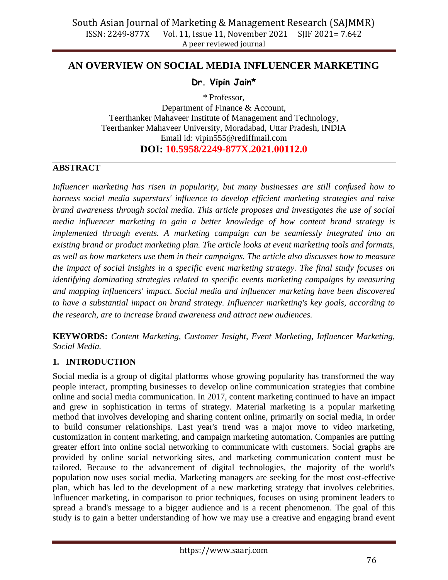# **AN OVERVIEW ON SOCIAL MEDIA INFLUENCER MARKETING**

# **Dr. Vipin Jain\***

\* Professor, Department of Finance & Account, Teerthanker Mahaveer Institute of Management and Technology, Teerthanker Mahaveer University, Moradabad, Uttar Pradesh, INDIA Email id: [vipin555@rediffmail.com](mailto:vipin555@rediffmail.com) **DOI: 10.5958/2249-877X.2021.00112.0**

## **ABSTRACT**

*Influencer marketing has risen in popularity, but many businesses are still confused how to harness social media superstars' influence to develop efficient marketing strategies and raise brand awareness through social media. This article proposes and investigates the use of social media influencer marketing to gain a better knowledge of how content brand strategy is implemented through events. A marketing campaign can be seamlessly integrated into an existing brand or product marketing plan. The article looks at event marketing tools and formats, as well as how marketers use them in their campaigns. The article also discusses how to measure the impact of social insights in a specific event marketing strategy. The final study focuses on identifying dominating strategies related to specific events marketing campaigns by measuring and mapping influencers' impact. Social media and influencer marketing have been discovered to have a substantial impact on brand strategy. Influencer marketing's key goals, according to the research, are to increase brand awareness and attract new audiences.*

**KEYWORDS:** *Content Marketing, Customer Insight, Event Marketing, Influencer Marketing, Social Media.* 

## **1. INTRODUCTION**

Social media is a group of digital platforms whose growing popularity has transformed the way people interact, prompting businesses to develop online communication strategies that combine online and social media communication. In 2017, content marketing continued to have an impact and grew in sophistication in terms of strategy. Material marketing is a popular marketing method that involves developing and sharing content online, primarily on social media, in order to build consumer relationships. Last year's trend was a major move to video marketing, customization in content marketing, and campaign marketing automation. Companies are putting greater effort into online social networking to communicate with customers. Social graphs are provided by online social networking sites, and marketing communication content must be tailored. Because to the advancement of digital technologies, the majority of the world's population now uses social media. Marketing managers are seeking for the most cost-effective plan, which has led to the development of a new marketing strategy that involves celebrities. Influencer marketing, in comparison to prior techniques, focuses on using prominent leaders to spread a brand's message to a bigger audience and is a recent phenomenon. The goal of this study is to gain a better understanding of how we may use a creative and engaging brand event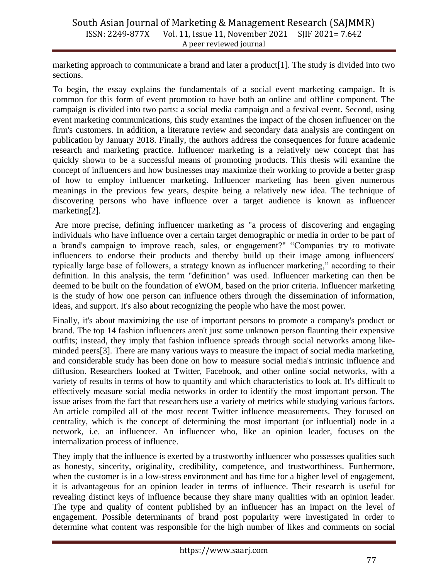marketing approach to communicate a brand and later a product[1]. The study is divided into two sections.

To begin, the essay explains the fundamentals of a social event marketing campaign. It is common for this form of event promotion to have both an online and offline component. The campaign is divided into two parts: a social media campaign and a festival event. Second, using event marketing communications, this study examines the impact of the chosen influencer on the firm's customers. In addition, a literature review and secondary data analysis are contingent on publication by January 2018. Finally, the authors address the consequences for future academic research and marketing practice. Influencer marketing is a relatively new concept that has quickly shown to be a successful means of promoting products. This thesis will examine the concept of influencers and how businesses may maximize their working to provide a better grasp of how to employ influencer marketing. Influencer marketing has been given numerous meanings in the previous few years, despite being a relatively new idea. The technique of discovering persons who have influence over a target audience is known as influencer marketing[2].

Are more precise, defining influencer marketing as "a process of discovering and engaging individuals who have influence over a certain target demographic or media in order to be part of a brand's campaign to improve reach, sales, or engagement?" "Companies try to motivate influencers to endorse their products and thereby build up their image among influencers' typically large base of followers, a strategy known as influencer marketing," according to their definition. In this analysis, the term "definition" was used. Influencer marketing can then be deemed to be built on the foundation of eWOM, based on the prior criteria. Influencer marketing is the study of how one person can influence others through the dissemination of information, ideas, and support. It's also about recognizing the people who have the most power.

Finally, it's about maximizing the use of important persons to promote a company's product or brand. The top 14 fashion influencers aren't just some unknown person flaunting their expensive outfits; instead, they imply that fashion influence spreads through social networks among likeminded peers[3]. There are many various ways to measure the impact of social media marketing, and considerable study has been done on how to measure social media's intrinsic influence and diffusion. Researchers looked at Twitter, Facebook, and other online social networks, with a variety of results in terms of how to quantify and which characteristics to look at. It's difficult to effectively measure social media networks in order to identify the most important person. The issue arises from the fact that researchers use a variety of metrics while studying various factors. An article compiled all of the most recent Twitter influence measurements. They focused on centrality, which is the concept of determining the most important (or influential) node in a network, i.e. an influencer. An influencer who, like an opinion leader, focuses on the internalization process of influence.

They imply that the influence is exerted by a trustworthy influencer who possesses qualities such as honesty, sincerity, originality, credibility, competence, and trustworthiness. Furthermore, when the customer is in a low-stress environment and has time for a higher level of engagement, it is advantageous for an opinion leader in terms of influence. Their research is useful for revealing distinct keys of influence because they share many qualities with an opinion leader. The type and quality of content published by an influencer has an impact on the level of engagement. Possible determinants of brand post popularity were investigated in order to determine what content was responsible for the high number of likes and comments on social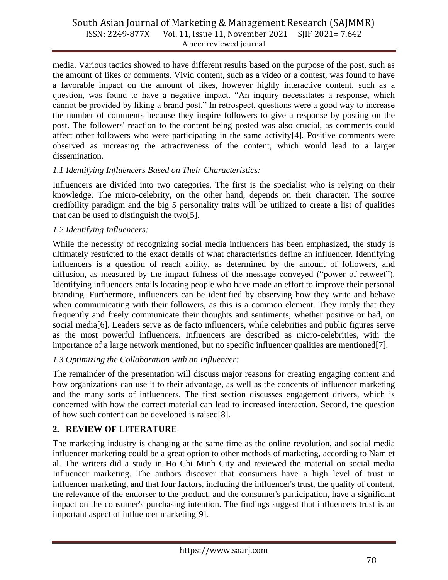media. Various tactics showed to have different results based on the purpose of the post, such as the amount of likes or comments. Vivid content, such as a video or a contest, was found to have a favorable impact on the amount of likes, however highly interactive content, such as a question, was found to have a negative impact. "An inquiry necessitates a response, which cannot be provided by liking a brand post." In retrospect, questions were a good way to increase the number of comments because they inspire followers to give a response by posting on the post. The followers' reaction to the content being posted was also crucial, as comments could affect other followers who were participating in the same activity[4]. Positive comments were observed as increasing the attractiveness of the content, which would lead to a larger dissemination.

### *1.1 Identifying Influencers Based on Their Characteristics:*

Influencers are divided into two categories. The first is the specialist who is relying on their knowledge. The micro-celebrity, on the other hand, depends on their character. The source credibility paradigm and the big 5 personality traits will be utilized to create a list of qualities that can be used to distinguish the two[5].

### *1.2 Identifying Influencers:*

While the necessity of recognizing social media influencers has been emphasized, the study is ultimately restricted to the exact details of what characteristics define an influencer. Identifying influencers is a question of reach ability, as determined by the amount of followers, and diffusion, as measured by the impact fulness of the message conveyed ("power of retweet"). Identifying influencers entails locating people who have made an effort to improve their personal branding. Furthermore, influencers can be identified by observing how they write and behave when communicating with their followers, as this is a common element. They imply that they frequently and freely communicate their thoughts and sentiments, whether positive or bad, on social media[6]. Leaders serve as de facto influencers, while celebrities and public figures serve as the most powerful influencers. Influencers are described as micro-celebrities, with the importance of a large network mentioned, but no specific influencer qualities are mentioned[7].

#### *1.3 Optimizing the Collaboration with an Influencer:*

The remainder of the presentation will discuss major reasons for creating engaging content and how organizations can use it to their advantage, as well as the concepts of influencer marketing and the many sorts of influencers. The first section discusses engagement drivers, which is concerned with how the correct material can lead to increased interaction. Second, the question of how such content can be developed is raised[8].

## **2. REVIEW OF LITERATURE**

The marketing industry is changing at the same time as the online revolution, and social media influencer marketing could be a great option to other methods of marketing, according to Nam et al. The writers did a study in Ho Chi Minh City and reviewed the material on social media Influencer marketing. The authors discover that consumers have a high level of trust in influencer marketing, and that four factors, including the influencer's trust, the quality of content, the relevance of the endorser to the product, and the consumer's participation, have a significant impact on the consumer's purchasing intention. The findings suggest that influencers trust is an important aspect of influencer marketing[9].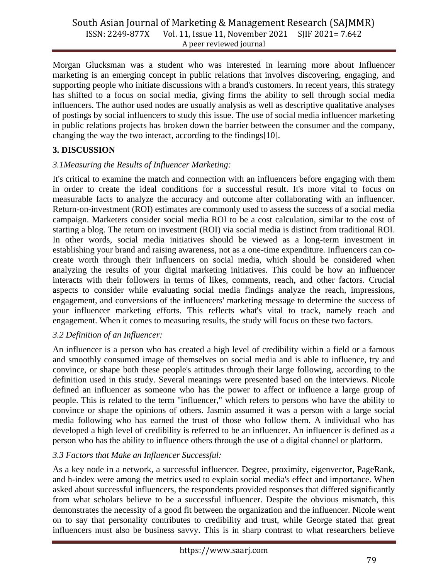Morgan Glucksman was a student who was interested in learning more about Influencer marketing is an emerging concept in public relations that involves discovering, engaging, and supporting people who initiate discussions with a brand's customers. In recent years, this strategy has shifted to a focus on social media, giving firms the ability to sell through social media influencers. The author used nodes are usually analysis as well as descriptive qualitative analyses of postings by social influencers to study this issue. The use of social media influencer marketing in public relations projects has broken down the barrier between the consumer and the company, changing the way the two interact, according to the findings[10].

## **3. DISCUSSION**

## *3.1Measuring the Results of Influencer Marketing:*

It's critical to examine the match and connection with an influencers before engaging with them in order to create the ideal conditions for a successful result. It's more vital to focus on measurable facts to analyze the accuracy and outcome after collaborating with an influencer. Return-on-investment (ROI) estimates are commonly used to assess the success of a social media campaign. Marketers consider social media ROI to be a cost calculation, similar to the cost of starting a blog. The return on investment (ROI) via social media is distinct from traditional ROI. In other words, social media initiatives should be viewed as a long-term investment in establishing your brand and raising awareness, not as a one-time expenditure. Influencers can cocreate worth through their influencers on social media, which should be considered when analyzing the results of your digital marketing initiatives. This could be how an influencer interacts with their followers in terms of likes, comments, reach, and other factors. Crucial aspects to consider while evaluating social media findings analyze the reach, impressions, engagement, and conversions of the influencers' marketing message to determine the success of your influencer marketing efforts. This reflects what's vital to track, namely reach and engagement. When it comes to measuring results, the study will focus on these two factors.

## *3.2 Definition of an Influencer:*

An influencer is a person who has created a high level of credibility within a field or a famous and smoothly consumed image of themselves on social media and is able to influence, try and convince, or shape both these people's attitudes through their large following, according to the definition used in this study. Several meanings were presented based on the interviews. Nicole defined an influencer as someone who has the power to affect or influence a large group of people. This is related to the term "influencer," which refers to persons who have the ability to convince or shape the opinions of others. Jasmin assumed it was a person with a large social media following who has earned the trust of those who follow them. A individual who has developed a high level of credibility is referred to be an influencer. An influencer is defined as a person who has the ability to influence others through the use of a digital channel or platform.

## *3.3 Factors that Make an Influencer Successful:*

As a key node in a network, a successful influencer. Degree, proximity, eigenvector, PageRank, and h-index were among the metrics used to explain social media's effect and importance. When asked about successful influencers, the respondents provided responses that differed significantly from what scholars believe to be a successful influencer. Despite the obvious mismatch, this demonstrates the necessity of a good fit between the organization and the influencer. Nicole went on to say that personality contributes to credibility and trust, while George stated that great influencers must also be business savvy. This is in sharp contrast to what researchers believe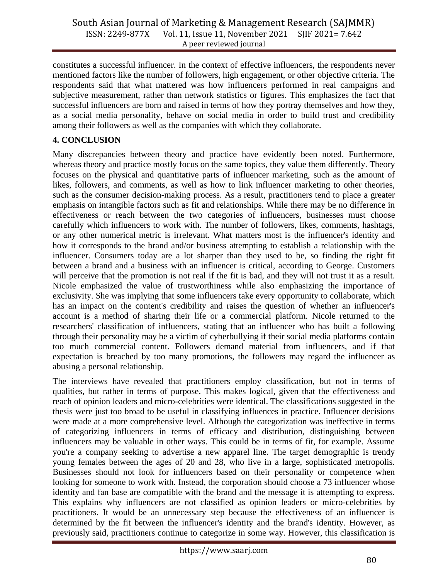constitutes a successful influencer. In the context of effective influencers, the respondents never mentioned factors like the number of followers, high engagement, or other objective criteria. The respondents said that what mattered was how influencers performed in real campaigns and subjective measurement, rather than network statistics or figures. This emphasizes the fact that successful influencers are born and raised in terms of how they portray themselves and how they, as a social media personality, behave on social media in order to build trust and credibility among their followers as well as the companies with which they collaborate.

## **4. CONCLUSION**

Many discrepancies between theory and practice have evidently been noted. Furthermore, whereas theory and practice mostly focus on the same topics, they value them differently. Theory focuses on the physical and quantitative parts of influencer marketing, such as the amount of likes, followers, and comments, as well as how to link influencer marketing to other theories, such as the consumer decision-making process. As a result, practitioners tend to place a greater emphasis on intangible factors such as fit and relationships. While there may be no difference in effectiveness or reach between the two categories of influencers, businesses must choose carefully which influencers to work with. The number of followers, likes, comments, hashtags, or any other numerical metric is irrelevant. What matters most is the influencer's identity and how it corresponds to the brand and/or business attempting to establish a relationship with the influencer. Consumers today are a lot sharper than they used to be, so finding the right fit between a brand and a business with an influencer is critical, according to George. Customers will perceive that the promotion is not real if the fit is bad, and they will not trust it as a result. Nicole emphasized the value of trustworthiness while also emphasizing the importance of exclusivity. She was implying that some influencers take every opportunity to collaborate, which has an impact on the content's credibility and raises the question of whether an influencer's account is a method of sharing their life or a commercial platform. Nicole returned to the researchers' classification of influencers, stating that an influencer who has built a following through their personality may be a victim of cyberbullying if their social media platforms contain too much commercial content. Followers demand material from influencers, and if that expectation is breached by too many promotions, the followers may regard the influencer as abusing a personal relationship.

The interviews have revealed that practitioners employ classification, but not in terms of qualities, but rather in terms of purpose. This makes logical, given that the effectiveness and reach of opinion leaders and micro-celebrities were identical. The classifications suggested in the thesis were just too broad to be useful in classifying influences in practice. Influencer decisions were made at a more comprehensive level. Although the categorization was ineffective in terms of categorizing influencers in terms of efficacy and distribution, distinguishing between influencers may be valuable in other ways. This could be in terms of fit, for example. Assume you're a company seeking to advertise a new apparel line. The target demographic is trendy young females between the ages of 20 and 28, who live in a large, sophisticated metropolis. Businesses should not look for influencers based on their personality or competence when looking for someone to work with. Instead, the corporation should choose a 73 influencer whose identity and fan base are compatible with the brand and the message it is attempting to express. This explains why influencers are not classified as opinion leaders or micro-celebrities by practitioners. It would be an unnecessary step because the effectiveness of an influencer is determined by the fit between the influencer's identity and the brand's identity. However, as previously said, practitioners continue to categorize in some way. However, this classification is